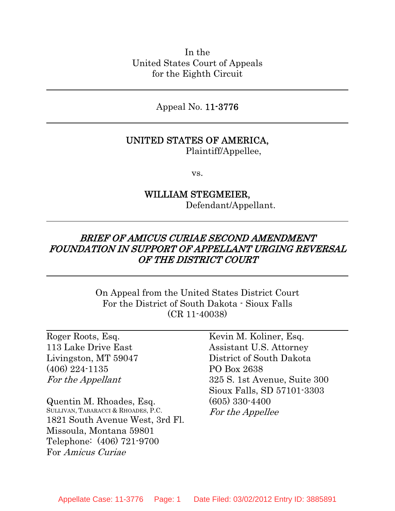In the United States Court of Appeals for the Eighth Circuit

Appeal No. 11-3776

### UNITED STATES OF AMERICA,

Plaintiff/Appellee,

vs.

## WILLIAM STEGMEIER, Defendant/Appellant.

## BRIEF OF AMICUS CURIAE SECOND AMENDMENT FOUNDATION IN SUPPORT OF APPELLANT URGING REVERSAL OF THE DISTRICT COURT

On Appeal from the United States District Court For the District of South Dakota - Sioux Falls (CR 11-40038)

Roger Roots, Esq. 113 Lake Drive East Livingston, MT 59047 (406) 224-1135 For the Appellant

Quentin M. Rhoades, Esq. SULLIVAN, TABARACCI & RHOADES, P.C. 1821 South Avenue West, 3rd Fl. Missoula, Montana 59801 Telephone: (406) 721-9700 For Amicus Curiae

Kevin M. Koliner, Esq. Assistant U.S. Attorney District of South Dakota PO Box 2638 325 S. 1st Avenue, Suite 300 Sioux Falls, SD 57101-3303 (605) 330-4400 For the Appellee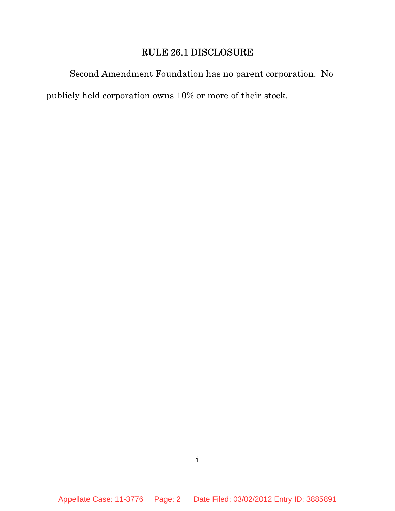## RULE 26.1 DISCLOSURE

Second Amendment Foundation has no parent corporation. No publicly held corporation owns 10% or more of their stock.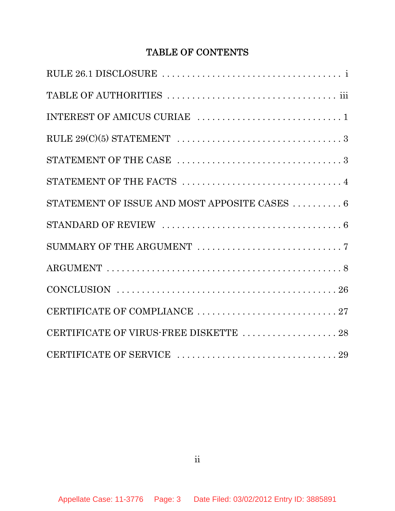# TABLE OF CONTENTS

| STATEMENT OF THE CASE $\,\ldots\ldots\ldots\ldots\ldots\ldots\ldots\ldots\ldots\ldots\ldots\ldots\,3$      |
|------------------------------------------------------------------------------------------------------------|
| STATEMENT OF THE FACTS $\ldots \ldots \ldots \ldots \ldots \ldots \ldots \ldots \ldots \ldots$             |
| STATEMENT OF ISSUE AND MOST APPOSITE CASES $\ldots\ldots\ldots\ldots\,6$                                   |
| STANDARD OF REVIEW $\ldots \ldots \ldots \ldots \ldots \ldots \ldots \ldots \ldots \ldots \ldots \ldots 6$ |
|                                                                                                            |
|                                                                                                            |
|                                                                                                            |
| CERTIFICATE OF COMPLIANCE 27                                                                               |
| CERTIFICATE OF VIRUS-FREE DISKETTE 28                                                                      |
|                                                                                                            |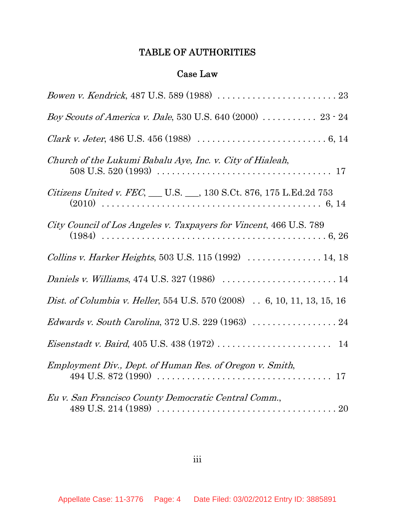# TABLE OF AUTHORITIES

## Case Law

| <i>Boy Scouts of America v. Dale,</i> 530 U.S. 640 (2000) $\ldots \ldots \ldots 23 - 24$                           |
|--------------------------------------------------------------------------------------------------------------------|
| <i>Clark v. Jeter</i> , 486 U.S. 456 (1988) $\ldots \ldots \ldots \ldots \ldots \ldots \ldots \ldots \ldots 6, 14$ |
| Church of the Lukumi Babalu Aye, Inc. v. City of Hialeah,                                                          |
| <i>Citizens United v. FEC</i> , __ U.S. __, 130 S.Ct. 876, 175 L.Ed.2d 753                                         |
| City Council of Los Angeles v. Taxpayers for Vincent, 466 U.S. 789                                                 |
| Collins v. Harker Heights, 503 U.S. 115 (1992)  14, 18                                                             |
| <i>Daniels v. Williams</i> , 474 U.S. 327 (1986) $\ldots \ldots \ldots \ldots \ldots \ldots \ldots 14$             |
| <i>Dist. of Columbia v. Heller</i> , 554 U.S. 570 (2008) . 6, 10, 11, 13, 15, 16                                   |
|                                                                                                                    |
|                                                                                                                    |
| Employment Div., Dept. of Human Res. of Oregon v. Smith,                                                           |
| Eu v. San Francisco County Democratic Central Comm.,                                                               |

iii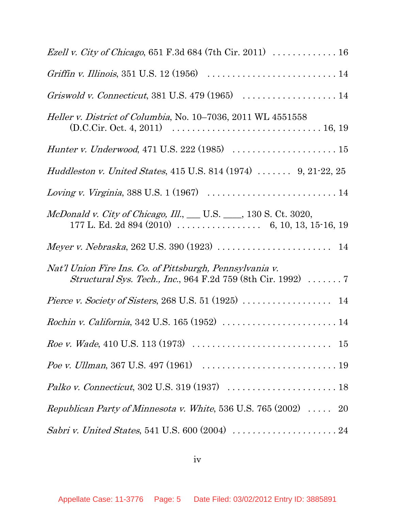| <i>Ezell v. City of Chicago</i> , 651 F.3d 684 (7th Cir. 2011) $\ldots \ldots \ldots \ldots 16$                                                                               |
|-------------------------------------------------------------------------------------------------------------------------------------------------------------------------------|
| Griffin v. Illinois, 351 U.S. 12 (1956) $\ldots \ldots \ldots \ldots \ldots \ldots \ldots \ldots \ldots 14$                                                                   |
| Griswold v. Connecticut, 381 U.S. 479 (1965) $\ldots \ldots \ldots \ldots \ldots \ldots 14$                                                                                   |
| <i>Heller v. District of Columbia, No.</i> 10–7036, 2011 WL 4551558<br>$(D.C.Cir. Oct. 4, 2011) \ldots \ldots \ldots \ldots \ldots \ldots \ldots \ldots \ldots \ldots 16, 19$ |
| <i>Hunter v. Underwood</i> , 471 U.S. 222 (1985) $\ldots \ldots \ldots \ldots \ldots \ldots \ldots 15$                                                                        |
| <i>Huddleston v. United States,</i> 415 U.S. 814 (1974) $\ldots \ldots$ 9, 21-22, 25                                                                                          |
| Loving v. Virginia, 388 U.S. 1 (1967) $\ldots \ldots \ldots \ldots \ldots \ldots \ldots \ldots 14$                                                                            |
| McDonald v. City of Chicago, Ill., U.S. 130 S. Ct. 3020,                                                                                                                      |
| Meyer v. Nebraska, 262 U.S. 390 (1923) $\ldots \ldots \ldots \ldots \ldots \ldots \ldots 14$                                                                                  |
| Nat'l Union Fire Ins. Co. of Pittsburgh, Pennsylvania v.<br><i>Structural Sys. Tech., Inc.</i> , 964 F.2d 759 (8th Cir. 1992)  7                                              |
|                                                                                                                                                                               |
| Rochin v. California, 342 U.S. 165 (1952)  14                                                                                                                                 |
| <i>Roe v. Wade</i> , 410 U.S. 113 (1973) $\ldots \ldots \ldots \ldots \ldots \ldots \ldots \ldots \ldots \ldots \ldots 15$                                                    |
| <i>Poe v. Ullman</i> , 367 U.S. 497 (1961) $\ldots \ldots \ldots \ldots \ldots \ldots \ldots \ldots \ldots \ldots 19$                                                         |
|                                                                                                                                                                               |
| <i>Republican Party of Minnesota v. White</i> , 536 U.S. 765 $(2002)$ 20                                                                                                      |
|                                                                                                                                                                               |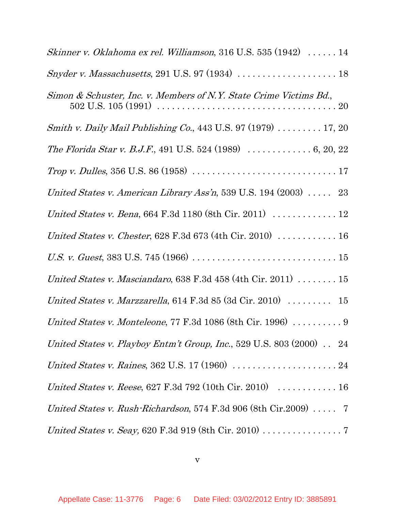| Skinner v. Oklahoma ex rel. Williamson, 316 U.S. 535 $(1942)$ 14                                |
|-------------------------------------------------------------------------------------------------|
| Snyder v. Massachusetts, 291 U.S. 97 (1934) $\ldots \ldots \ldots \ldots \ldots \ldots 18$      |
| Simon & Schuster, Inc. v. Members of N.Y. State Crime Victims Bd.,                              |
| Smith v. Daily Mail Publishing Co., 443 U.S. 97 (1979)  17, 20                                  |
| <i>The Florida Star v. B.J.F.</i> , 491 U.S. 524 (1989) $\ldots \ldots \ldots \ldots 6, 20, 22$ |
|                                                                                                 |
| United States v. American Library Ass'n, 539 U.S. 194 (2003) $\ldots$ 23                        |
| United States v. Bena, 664 F.3d 1180 (8th Cir. 2011) $\ldots \ldots \ldots \ldots 12$           |
| United States v. Chester, 628 F.3d 673 (4th Cir. 2010)  16                                      |
|                                                                                                 |
| United States v. Masciandaro, 638 F.3d $458$ (4th Cir. 2011) $\dots \dots \dots 15$             |
| United States v. Marzzarella, $614$ F.3d $85$ (3d Cir. 2010) $\ldots \ldots \ldots$ 15          |
| United States v. Monteleone, 77 F.3d 1086 (8th Cir. 1996) $\ldots \ldots \ldots$ 9              |
| United States v. Playboy Entm't Group, Inc., 529 U.S. 803 (2000) $\ldots$ 24                    |
| United States v. Raines, 362 U.S. 17 (1960) $\ldots \ldots \ldots \ldots \ldots \ldots 24$      |
| United States v. Reese, 627 F.3d 792 (10th Cir. 2010) $\ldots \ldots \ldots \ldots 16$          |
| United States v. Rush Richardson, 574 F.3d 906 (8th Cir.2009) $\ldots$ 7                        |
| United States v. Seay, 620 F.3d 919 (8th Cir. 2010) 7                                           |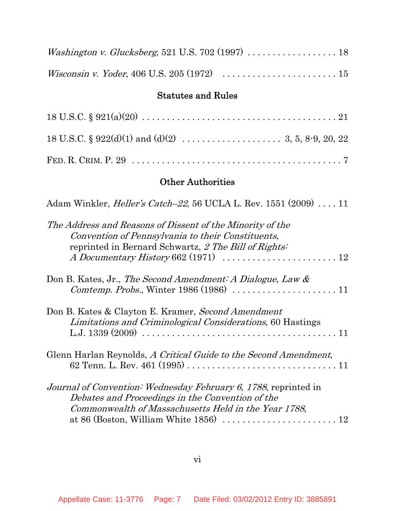| <i>Washington v. Glucksberg</i> , 521 U.S. 702 (1997) $\ldots \ldots \ldots \ldots \ldots \ldots$     |  |
|-------------------------------------------------------------------------------------------------------|--|
| <i>Wisconsin v. Yoder</i> , 406 U.S. 205 (1972) $\ldots \ldots \ldots \ldots \ldots \ldots \ldots 15$ |  |

## Statutes and Rules

## Other Authorities

| Adam Winkler, <i>Heller's Catch–22</i> , 56 UCLA L. Rev. 1551 (2009)  11                                                                                                                                                                                         |
|------------------------------------------------------------------------------------------------------------------------------------------------------------------------------------------------------------------------------------------------------------------|
| The Address and Reasons of Dissent of the Minority of the<br>Convention of Pennsylvania to their Constituents,<br>reprinted in Bernard Schwartz, 2 The Bill of Rights:<br>A Documentary History 662 (1971) $\ldots \ldots \ldots \ldots \ldots \ldots \ldots 12$ |
| Don B. Kates, Jr., The Second Amendment: A Dialogue, Law $\&$                                                                                                                                                                                                    |
| Don B. Kates & Clayton E. Kramer, Second Amendment<br><i>Limitations and Criminological Considerations, 60 Hastings</i>                                                                                                                                          |
| Glenn Harlan Reynolds, A Critical Guide to the Second Amendment,                                                                                                                                                                                                 |
| <i>Journal of Convention: Wednesday February 6, 1788, reprinted in</i><br>Debates and Proceedings in the Convention of the<br>Commonwealth of Massachusetts Held in the Year 1788,                                                                               |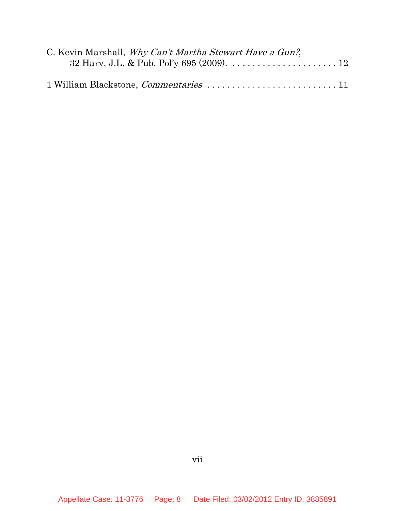| C. Kevin Marshall, Why Can't Martha Stewart Have a Gun?,                              |  |
|---------------------------------------------------------------------------------------|--|
| 32 Harv. J.L. & Pub. Pol'y 695 (2009). $\ldots \ldots \ldots \ldots \ldots \ldots 12$ |  |
|                                                                                       |  |
|                                                                                       |  |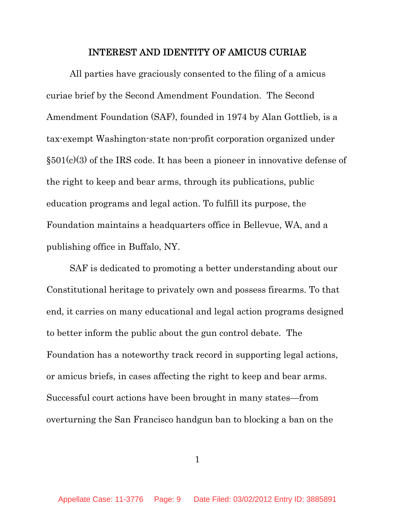#### INTEREST AND IDENTITY OF AMICUS CURIAE

All parties have graciously consented to the filing of a amicus curiae brief by the Second Amendment Foundation. The Second Amendment Foundation (SAF), founded in 1974 by Alan Gottlieb, is a tax-exempt Washington-state non-profit corporation organized under  $§501(c)(3)$  of the IRS code. It has been a pioneer in innovative defense of the right to keep and bear arms, through its publications, public education programs and legal action. To fulfill its purpose, the Foundation maintains a headquarters office in Bellevue, WA, and a publishing office in Buffalo, NY.

SAF is dedicated to promoting a better understanding about our Constitutional heritage to privately own and possess firearms. To that end, it carries on many educational and legal action programs designed to better inform the public about the gun control debate. The Foundation has a noteworthy track record in supporting legal actions, or amicus briefs, in cases affecting the right to keep and bear arms. Successful court actions have been brought in many states—from overturning the San Francisco handgun ban to blocking a ban on the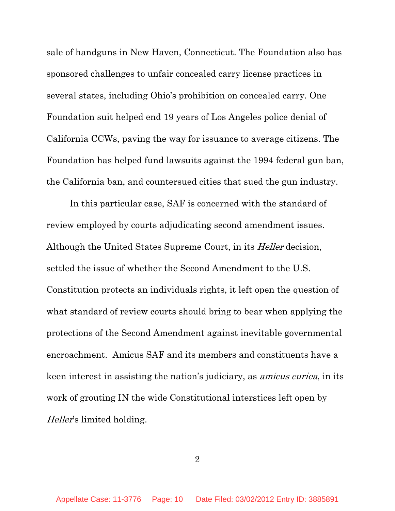sale of handguns in New Haven, Connecticut. The Foundation also has sponsored challenges to unfair concealed carry license practices in several states, including Ohio's prohibition on concealed carry. One Foundation suit helped end 19 years of Los Angeles police denial of California CCWs, paving the way for issuance to average citizens. The Foundation has helped fund lawsuits against the 1994 federal gun ban, the California ban, and countersued cities that sued the gun industry.

In this particular case, SAF is concerned with the standard of review employed by courts adjudicating second amendment issues. Although the United States Supreme Court, in its *Heller* decision, settled the issue of whether the Second Amendment to the U.S. Constitution protects an individuals rights, it left open the question of what standard of review courts should bring to bear when applying the protections of the Second Amendment against inevitable governmental encroachment. Amicus SAF and its members and constituents have a keen interest in assisting the nation's judiciary, as amicus curiea, in its work of grouting IN the wide Constitutional interstices left open by Heller's limited holding.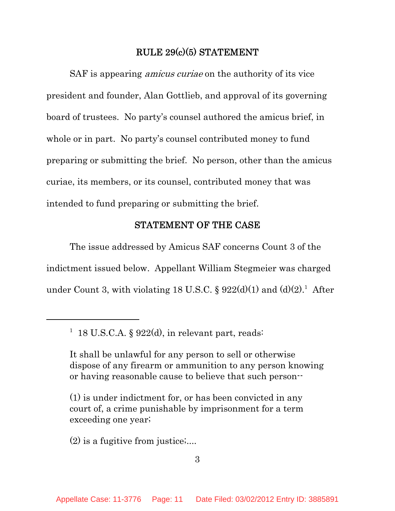## RULE 29(c)(5) STATEMENT

SAF is appearing *amicus curiae* on the authority of its vice president and founder, Alan Gottlieb, and approval of its governing board of trustees. No party's counsel authored the amicus brief, in whole or in part. No party's counsel contributed money to fund preparing or submitting the brief. No person, other than the amicus curiae, its members, or its counsel, contributed money that was intended to fund preparing or submitting the brief.

#### STATEMENT OF THE CASE

The issue addressed by Amicus SAF concerns Count 3 of the indictment issued below. Appellant William Stegmeier was charged under Count 3, with violating 18 U.S.C. §  $922(d)(1)$  and  $(d)(2)^1$ . After

(2) is a fugitive from justice;....

<sup>&</sup>lt;sup>1</sup> 18 U.S.C.A. § 922(d), in relevant part, reads:

It shall be unlawful for any person to sell or otherwise dispose of any firearm or ammunition to any person knowing or having reasonable cause to believe that such person--

<sup>(1)</sup> is under indictment for, or has been convicted in any court of, a crime punishable by imprisonment for a term exceeding one year;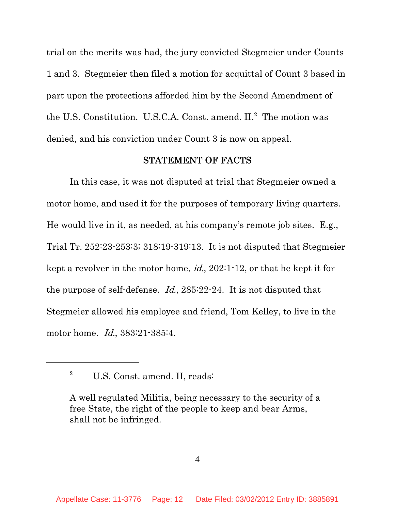trial on the merits was had, the jury convicted Stegmeier under Counts 1 and 3. Stegmeier then filed a motion for acquittal of Count 3 based in part upon the protections afforded him by the Second Amendment of the U.S. Constitution. U.S.C.A. Const. amend. II.<sup>2</sup> The motion was denied, and his conviction under Count 3 is now on appeal.

#### STATEMENT OF FACTS

In this case, it was not disputed at trial that Stegmeier owned a motor home, and used it for the purposes of temporary living quarters. He would live in it, as needed, at his company's remote job sites. E.g., Trial Tr. 252:23-253:3; 318:19-319:13. It is not disputed that Stegmeier kept a revolver in the motor home, id., 202:1-12, or that he kept it for the purpose of self-defense. Id., 285:22-24. It is not disputed that Stegmeier allowed his employee and friend, Tom Kelley, to live in the motor home. Id., 383:21-385:4.

<sup>&</sup>lt;sup>2</sup> U.S. Const. amend. II, reads:

A well regulated Militia, being necessary to the security of a free State, the right of the people to keep and bear Arms, shall not be infringed.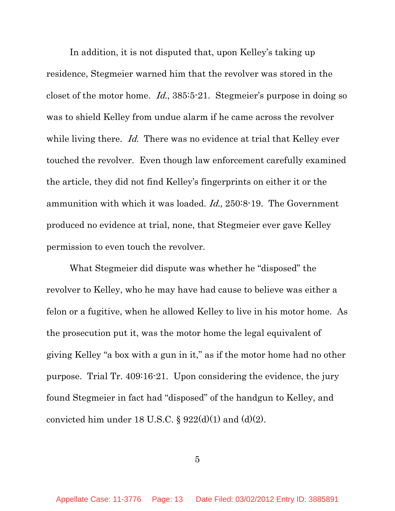In addition, it is not disputed that, upon Kelley's taking up residence, Stegmeier warned him that the revolver was stored in the closet of the motor home. Id., 385:5-21. Stegmeier's purpose in doing so was to shield Kelley from undue alarm if he came across the revolver while living there. Id. There was no evidence at trial that Kelley ever touched the revolver. Even though law enforcement carefully examined the article, they did not find Kelley's fingerprints on either it or the ammunition with which it was loaded. Id., 250:8-19. The Government produced no evidence at trial, none, that Stegmeier ever gave Kelley permission to even touch the revolver.

What Stegmeier did dispute was whether he "disposed" the revolver to Kelley, who he may have had cause to believe was either a felon or a fugitive, when he allowed Kelley to live in his motor home. As the prosecution put it, was the motor home the legal equivalent of giving Kelley "a box with a gun in it," as if the motor home had no other purpose. Trial Tr. 409:16-21. Upon considering the evidence, the jury found Stegmeier in fact had "disposed" of the handgun to Kelley, and convicted him under 18 U.S.C.  $\S 922(d)(1)$  and  $(d)(2)$ .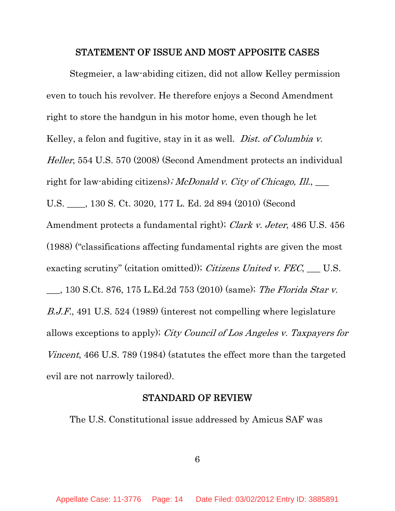#### STATEMENT OF ISSUE AND MOST APPOSITE CASES

Stegmeier, a law-abiding citizen, did not allow Kelley permission even to touch his revolver. He therefore enjoys a Second Amendment right to store the handgun in his motor home, even though he let Kelley, a felon and fugitive, stay in it as well. *Dist. of Columbia v.* Heller, 554 U.S. 570 (2008) (Second Amendment protects an individual right for law-abiding citizens); McDonald v. City of Chicago, Ill.,  $\Box$ U.S. \_\_\_\_, 130 S. Ct. 3020, 177 L. Ed. 2d 894 (2010) (Second Amendment protects a fundamental right); Clark v. Jeter, 486 U.S. 456 (1988) ("classifications affecting fundamental rights are given the most exacting scrutiny" (citation omitted)); Citizens United v.  $FEC$ , \_\_\_ U.S. \_\_\_, 130 S.Ct. 876, 175 L.Ed.2d 753 (2010) (same); The Florida Star v. B.J.F., 491 U.S. 524 (1989) (interest not compelling where legislature allows exceptions to apply); City Council of Los Angeles v. Taxpayers for Vincent, 466 U.S. 789 (1984) (statutes the effect more than the targeted evil are not narrowly tailored).

#### STANDARD OF REVIEW

The U.S. Constitutional issue addressed by Amicus SAF was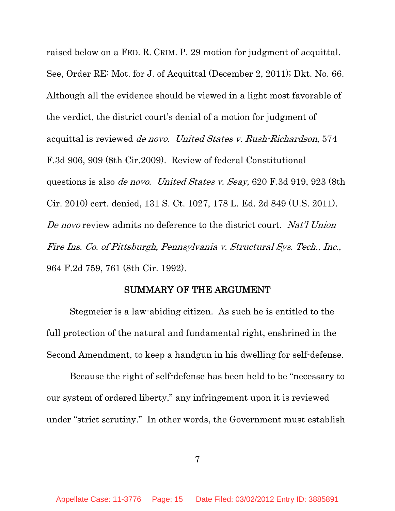raised below on a FED. R. CRIM. P. 29 motion for judgment of acquittal. See, Order RE: Mot. for J. of Acquittal (December 2, 2011); Dkt. No. 66. Although all the evidence should be viewed in a light most favorable of the verdict, the district court's denial of a motion for judgment of acquittal is reviewed de novo. United States v. Rush-Richardson, 574 F.3d 906, 909 (8th Cir.2009). Review of federal Constitutional questions is also de novo. United States v. Seay, 620 F.3d 919, 923 (8th Cir. 2010) cert. denied, 131 S. Ct. 1027, 178 L. Ed. 2d 849 (U.S. 2011). De novo review admits no deference to the district court. Nat'l Union Fire Ins. Co. of Pittsburgh, Pennsylvania v. Structural Sys. Tech., Inc., 964 F.2d 759, 761 (8th Cir. 1992).

## SUMMARY OF THE ARGUMENT

Stegmeier is a law-abiding citizen. As such he is entitled to the full protection of the natural and fundamental right, enshrined in the Second Amendment, to keep a handgun in his dwelling for self-defense.

Because the right of self-defense has been held to be "necessary to our system of ordered liberty," any infringement upon it is reviewed under "strict scrutiny." In other words, the Government must establish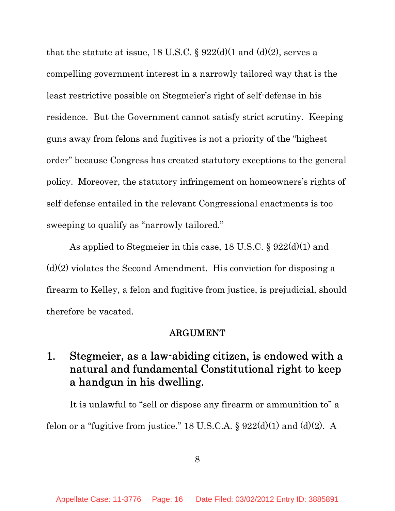that the statute at issue, 18 U.S.C.  $\S 922(d)(1 and (d)(2),$  serves a compelling government interest in a narrowly tailored way that is the least restrictive possible on Stegmeier's right of self-defense in his residence. But the Government cannot satisfy strict scrutiny. Keeping guns away from felons and fugitives is not a priority of the "highest order" because Congress has created statutory exceptions to the general policy. Moreover, the statutory infringement on homeowners's rights of self-defense entailed in the relevant Congressional enactments is too sweeping to qualify as "narrowly tailored."

As applied to Stegmeier in this case, 18 U.S.C. § 922(d)(1) and  $(d)(2)$  violates the Second Amendment. His conviction for disposing a firearm to Kelley, a felon and fugitive from justice, is prejudicial, should therefore be vacated.

#### ARGUMENT

# 1. Stegmeier, as a law-abiding citizen, is endowed with a natural and fundamental Constitutional right to keep a handgun in his dwelling.

It is unlawful to "sell or dispose any firearm or ammunition to" a felon or a "fugitive from justice." 18 U.S.C.A.  $\S 922(d)(1)$  and  $(d)(2)$ . A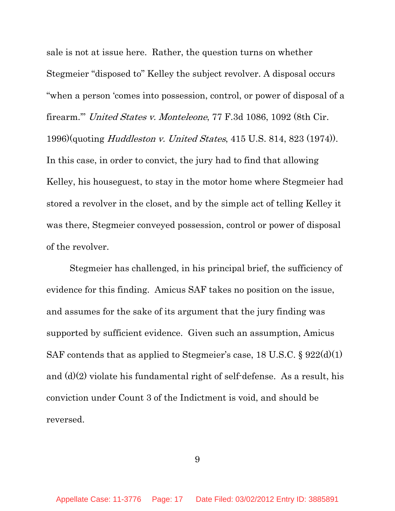sale is not at issue here. Rather, the question turns on whether Stegmeier "disposed to" Kelley the subject revolver. A disposal occurs "when a person 'comes into possession, control, or power of disposal of a firearm.'" United States v. Monteleone, 77 F.3d 1086, 1092 (8th Cir. 1996)(quoting *Huddleston v. United States*, 415 U.S. 814, 823 (1974)). In this case, in order to convict, the jury had to find that allowing Kelley, his houseguest, to stay in the motor home where Stegmeier had stored a revolver in the closet, and by the simple act of telling Kelley it was there, Stegmeier conveyed possession, control or power of disposal of the revolver.

Stegmeier has challenged, in his principal brief, the sufficiency of evidence for this finding. Amicus SAF takes no position on the issue, and assumes for the sake of its argument that the jury finding was supported by sufficient evidence. Given such an assumption, Amicus SAF contends that as applied to Stegmeier's case, 18 U.S.C. § 922(d)(1) and  $(d)(2)$  violate his fundamental right of self-defense. As a result, his conviction under Count 3 of the Indictment is void, and should be reversed.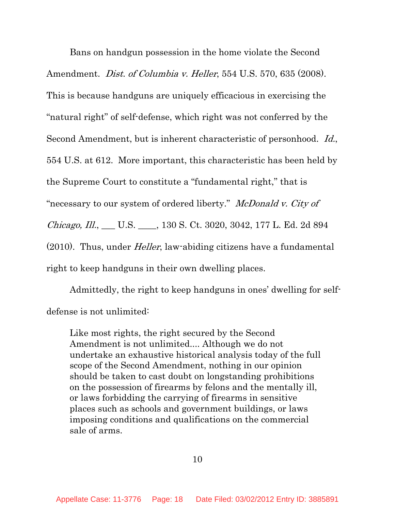Bans on handgun possession in the home violate the Second Amendment. *Dist. of Columbia v. Heller*, 554 U.S. 570, 635 (2008). This is because handguns are uniquely efficacious in exercising the "natural right" of self-defense, which right was not conferred by the Second Amendment, but is inherent characteristic of personhood. Id., 554 U.S. at 612. More important, this characteristic has been held by the Supreme Court to constitute a "fundamental right," that is "necessary to our system of ordered liberty." McDonald v. City of Chicago, Ill., \_\_\_ U.S. \_\_\_\_, 130 S. Ct. 3020, 3042, 177 L. Ed. 2d 894 (2010). Thus, under Heller, law-abiding citizens have a fundamental right to keep handguns in their own dwelling places.

Admittedly, the right to keep handguns in ones' dwelling for selfdefense is not unlimited:

Like most rights, the right secured by the Second Amendment is not unlimited.... Although we do not undertake an exhaustive historical analysis today of the full scope of the Second Amendment, nothing in our opinion should be taken to cast doubt on longstanding prohibitions on the possession of firearms by felons and the mentally ill, or laws forbidding the carrying of firearms in sensitive places such as schools and government buildings, or laws imposing conditions and qualifications on the commercial sale of arms.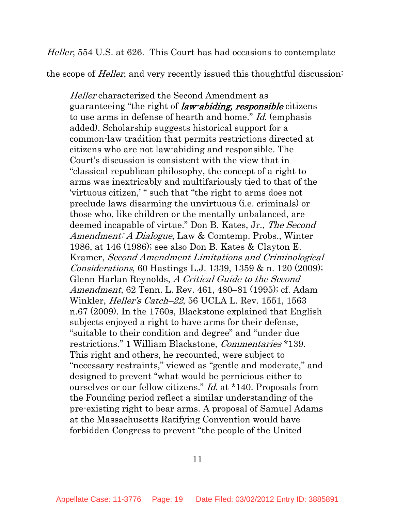Heller, 554 U.S. at 626. This Court has had occasions to contemplate

the scope of *Heller*, and very recently issued this thoughtful discussion:

Heller characterized the Second Amendment as guaranteeing "the right of law-abiding, responsible citizens to use arms in defense of hearth and home." Id. (emphasis added). Scholarship suggests historical support for a common-law tradition that permits restrictions directed at citizens who are not law-abiding and responsible. The Court's discussion is consistent with the view that in "classical republican philosophy, the concept of a right to arms was inextricably and multifariously tied to that of the 'virtuous citizen,' " such that "the right to arms does not preclude laws disarming the unvirtuous (i.e. criminals) or those who, like children or the mentally unbalanced, are deemed incapable of virtue." Don B. Kates, Jr., The Second Amendment: A Dialogue, Law & Comtemp. Probs., Winter 1986, at 146 (1986); see also Don B. Kates & Clayton E. Kramer, Second Amendment Limitations and Criminological Considerations, 60 Hastings L.J. 1339, 1359 & n. 120 (2009); Glenn Harlan Reynolds, A Critical Guide to the Second Amendment, 62 Tenn. L. Rev. 461, 480–81 (1995); cf. Adam Winkler, *Heller's Catch–22*, 56 UCLA L. Rev. 1551, 1563 n.67 (2009). In the 1760s, Blackstone explained that English subjects enjoyed a right to have arms for their defense, "suitable to their condition and degree" and "under due restrictions." 1 William Blackstone, Commentaries \*139. This right and others, he recounted, were subject to "necessary restraints," viewed as "gentle and moderate," and designed to prevent "what would be pernicious either to ourselves or our fellow citizens." Id. at \*140. Proposals from the Founding period reflect a similar understanding of the pre-existing right to bear arms. A proposal of Samuel Adams at the Massachusetts Ratifying Convention would have forbidden Congress to prevent "the people of the United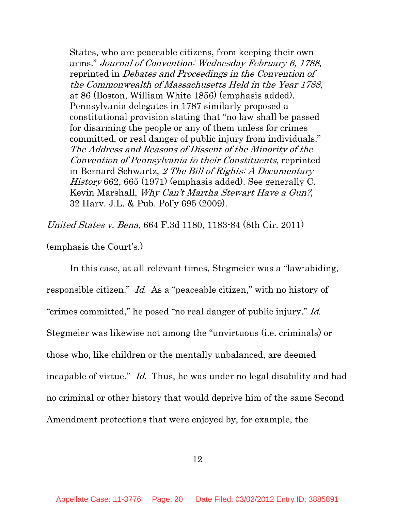States, who are peaceable citizens, from keeping their own arms." Journal of Convention: Wednesday February 6, 1788, reprinted in Debates and Proceedings in the Convention of the Commonwealth of Massachusetts Held in the Year 1788, at 86 (Boston, William White 1856) (emphasis added). Pennsylvania delegates in 1787 similarly proposed a constitutional provision stating that "no law shall be passed for disarming the people or any of them unless for crimes committed, or real danger of public injury from individuals." The Address and Reasons of Dissent of the Minority of the Convention of Pennsylvania to their Constituents, reprinted in Bernard Schwartz, 2 The Bill of Rights: A Documentary History 662, 665 (1971) (emphasis added). See generally C. Kevin Marshall, Why Can't Martha Stewart Have a Gun?, 32 Harv. J.L. & Pub. Pol'y 695 (2009).

United States v. Bena, 664 F.3d 1180, 1183-84 (8th Cir. 2011)

(emphasis the Court's.)

In this case, at all relevant times, Stegmeier was a "law-abiding, responsible citizen." Id. As a "peaceable citizen," with no history of "crimes committed," he posed "no real danger of public injury." Id. Stegmeier was likewise not among the "unvirtuous (i.e. criminals) or those who, like children or the mentally unbalanced, are deemed incapable of virtue." Id. Thus, he was under no legal disability and had no criminal or other history that would deprive him of the same Second Amendment protections that were enjoyed by, for example, the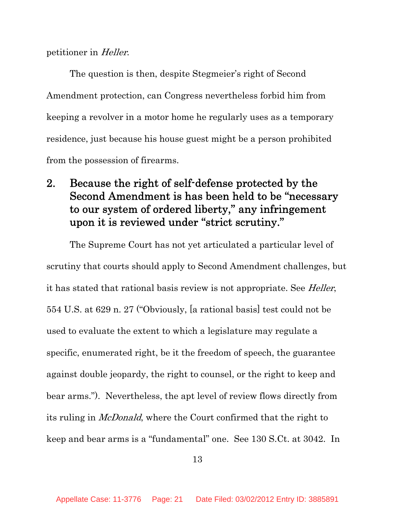## petitioner in Heller.

The question is then, despite Stegmeier's right of Second Amendment protection, can Congress nevertheless forbid him from keeping a revolver in a motor home he regularly uses as a temporary residence, just because his house guest might be a person prohibited from the possession of firearms.

# 2. Because the right of self-defense protected by the Second Amendment is has been held to be "necessary to our system of ordered liberty," any infringement upon it is reviewed under "strict scrutiny."

The Supreme Court has not yet articulated a particular level of scrutiny that courts should apply to Second Amendment challenges, but it has stated that rational basis review is not appropriate. See *Heller*, 554 U.S. at 629 n. 27 ("Obviously, [a rational basis] test could not be used to evaluate the extent to which a legislature may regulate a specific, enumerated right, be it the freedom of speech, the guarantee against double jeopardy, the right to counsel, or the right to keep and bear arms."). Nevertheless, the apt level of review flows directly from its ruling in McDonald, where the Court confirmed that the right to keep and bear arms is a "fundamental" one. See 130 S.Ct. at 3042. In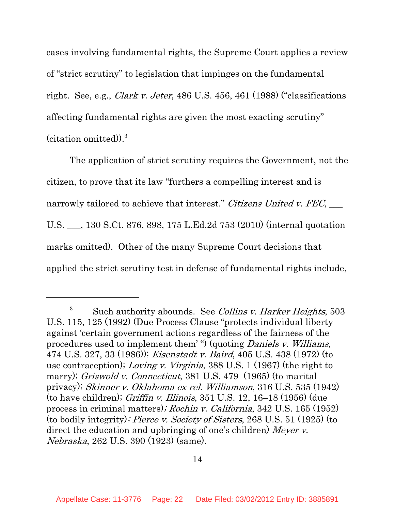cases involving fundamental rights, the Supreme Court applies a review of "strict scrutiny" to legislation that impinges on the fundamental right. See, e.g., *Clark v. Jeter*, 486 U.S. 456, 461 (1988) ("classifications" affecting fundamental rights are given the most exacting scrutiny" (citation omitted)).<sup>3</sup>

The application of strict scrutiny requires the Government, not the citizen, to prove that its law "furthers a compelling interest and is narrowly tailored to achieve that interest." Citizens United v. FEC,  $\qquad \qquad$ U.S. \_\_\_, 130 S.Ct. 876, 898, 175 L.Ed.2d 753 (2010) (internal quotation marks omitted). Other of the many Supreme Court decisions that applied the strict scrutiny test in defense of fundamental rights include,

 $3$  Such authority abounds. See *Collins v. Harker Heights*, 503 U.S. 115, 125 (1992) (Due Process Clause "protects individual liberty against 'certain government actions regardless of the fairness of the procedures used to implement them' ") (quoting *Daniels v. Williams*, 474 U.S. 327, 33 (1986)); Eisenstadt v. Baird, 405 U.S. 438 (1972) (to use contraception); Loving v. Virginia, 388 U.S. 1 (1967) (the right to marry); Griswold v. Connecticut, 381 U.S. 479 (1965) (to marital privacy); Skinner v. Oklahoma ex rel. Williamson, 316 U.S. 535 (1942) (to have children); Griffin v. Illinois, 351 U.S. 12, 16–18 (1956) (due process in criminal matters); Rochin v. California, 342 U.S. 165 (1952) (to bodily integrity); Pierce v. Society of Sisters, 268 U.S. 51 (1925) (to direct the education and upbringing of one's children) Meyer v. Nebraska, 262 U.S. 390 (1923) (same).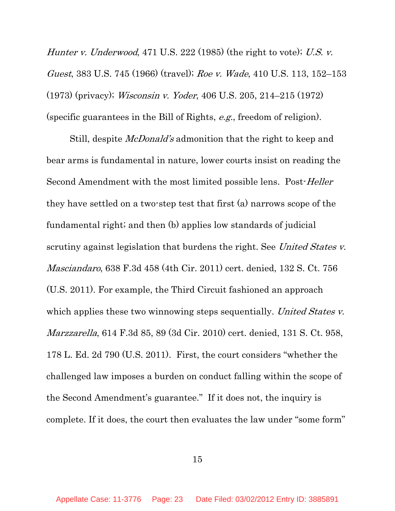Hunter v. Underwood, 471 U.S. 222 (1985) (the right to vote); U.S. v. Guest, 383 U.S. 745 (1966) (travel); Roe v. Wade, 410 U.S. 113, 152–153 (1973) (privacy); Wisconsin v. Yoder, 406 U.S. 205, 214–215 (1972) (specific guarantees in the Bill of Rights, e.g., freedom of religion).

Still, despite *McDonald's* admonition that the right to keep and bear arms is fundamental in nature, lower courts insist on reading the Second Amendment with the most limited possible lens. Post-*Heller* they have settled on a two-step test that first (a) narrows scope of the fundamental right; and then (b) applies low standards of judicial scrutiny against legislation that burdens the right. See United States v. Masciandaro, 638 F.3d 458 (4th Cir. 2011) cert. denied, 132 S. Ct. 756 (U.S. 2011). For example, the Third Circuit fashioned an approach which applies these two winnowing steps sequentially. United States v. Marzzarella, 614 F.3d 85, 89 (3d Cir. 2010) cert. denied, 131 S. Ct. 958, 178 L. Ed. 2d 790 (U.S. 2011). First, the court considers "whether the challenged law imposes a burden on conduct falling within the scope of the Second Amendment's guarantee." If it does not, the inquiry is complete. If it does, the court then evaluates the law under "some form"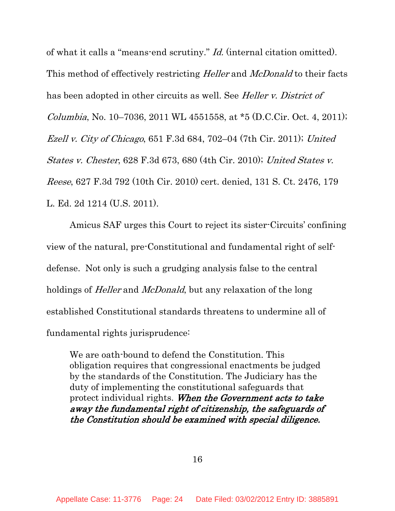of what it calls a "means-end scrutiny." Id. (internal citation omitted). This method of effectively restricting *Heller* and *McDonald* to their facts has been adopted in other circuits as well. See *Heller v. District of* Columbia, No. 10–7036, 2011 WL 4551558, at  $*5$  (D.C.Cir. Oct. 4, 2011); Ezell v. City of Chicago, 651 F.3d 684, 702–04 (7th Cir. 2011); United States v. Chester, 628 F.3d 673, 680 (4th Cir. 2010); United States v. Reese, 627 F.3d 792 (10th Cir. 2010) cert. denied, 131 S. Ct. 2476, 179 L. Ed. 2d 1214 (U.S. 2011).

Amicus SAF urges this Court to reject its sister-Circuits' confining view of the natural, pre-Constitutional and fundamental right of selfdefense. Not only is such a grudging analysis false to the central holdings of *Heller* and *McDonald*, but any relaxation of the long established Constitutional standards threatens to undermine all of fundamental rights jurisprudence:

We are oath-bound to defend the Constitution. This obligation requires that congressional enactments be judged by the standards of the Constitution. The Judiciary has the duty of implementing the constitutional safeguards that protect individual rights. When the Government acts to take away the fundamental right of citizenship, the safeguards of the Constitution should be examined with special diligence.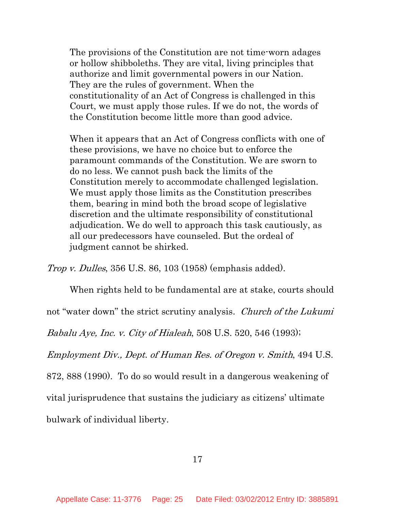The provisions of the Constitution are not time-worn adages or hollow shibboleths. They are vital, living principles that authorize and limit governmental powers in our Nation. They are the rules of government. When the constitutionality of an Act of Congress is challenged in this Court, we must apply those rules. If we do not, the words of the Constitution become little more than good advice.

When it appears that an Act of Congress conflicts with one of these provisions, we have no choice but to enforce the paramount commands of the Constitution. We are sworn to do no less. We cannot push back the limits of the Constitution merely to accommodate challenged legislation. We must apply those limits as the Constitution prescribes them, bearing in mind both the broad scope of legislative discretion and the ultimate responsibility of constitutional adjudication. We do well to approach this task cautiously, as all our predecessors have counseled. But the ordeal of judgment cannot be shirked.

Trop v. Dulles, 356 U.S. 86, 103 (1958) (emphasis added).

When rights held to be fundamental are at stake, courts should

not "water down" the strict scrutiny analysis. Church of the Lukumi

Babalu Aye, Inc. v. City of Hialeah, 508 U.S. 520, 546 (1993);

Employment Div., Dept. of Human Res. of Oregon v. Smith, 494 U.S.

872, 888 (1990). To do so would result in a dangerous weakening of

vital jurisprudence that sustains the judiciary as citizens' ultimate

bulwark of individual liberty.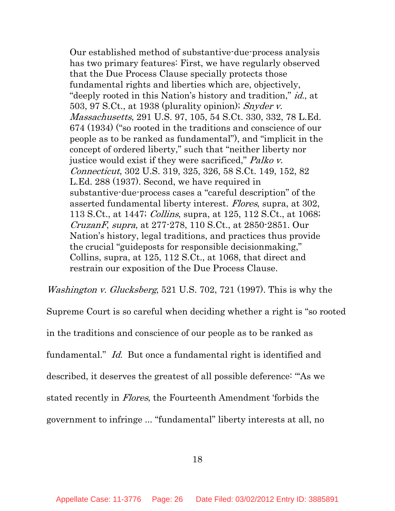Our established method of substantive-due-process analysis has two primary features: First, we have regularly observed that the Due Process Clause specially protects those fundamental rights and liberties which are, objectively, "deeply rooted in this Nation's history and tradition," id., at 503, 97 S.Ct., at 1938 (plurality opinion); Snyder v. Massachusetts, 291 U.S. 97, 105, 54 S.Ct. 330, 332, 78 L.Ed. 674 (1934) ("so rooted in the traditions and conscience of our people as to be ranked as fundamental"), and "implicit in the concept of ordered liberty," such that "neither liberty nor justice would exist if they were sacrificed," Palko v. Connecticut, 302 U.S. 319, 325, 326, 58 S.Ct. 149, 152, 82 L.Ed. 288 (1937). Second, we have required in substantive-due-process cases a "careful description" of the asserted fundamental liberty interest. Flores, supra, at 302, 113 S.Ct., at 1447; Collins, supra, at 125, 112 S.Ct., at 1068; CruzanF, supra, at 277-278, 110 S.Ct., at 2850-2851. Our Nation's history, legal traditions, and practices thus provide the crucial "guideposts for responsible decisionmaking," Collins, supra, at 125, 112 S.Ct., at 1068, that direct and restrain our exposition of the Due Process Clause.

Washington v. Glucksberg, 521 U.S. 702, 721 (1997). This is why the

Supreme Court is so careful when deciding whether a right is "so rooted

in the traditions and conscience of our people as to be ranked as

fundamental." Id. But once a fundamental right is identified and

described, it deserves the greatest of all possible deference: "'As we

stated recently in Flores, the Fourteenth Amendment 'forbids the

government to infringe ... "fundamental" liberty interests at all, no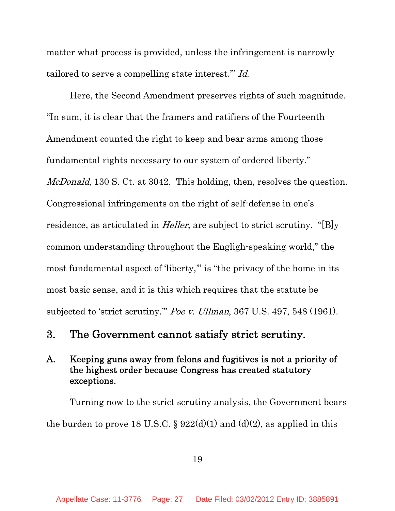matter what process is provided, unless the infringement is narrowly tailored to serve a compelling state interest.'" Id.

Here, the Second Amendment preserves rights of such magnitude. "In sum, it is clear that the framers and ratifiers of the Fourteenth Amendment counted the right to keep and bear arms among those fundamental rights necessary to our system of ordered liberty." McDonald, 130 S. Ct. at 3042. This holding, then, resolves the question. Congressional infringements on the right of self-defense in one's residence, as articulated in *Heller*, are subject to strict scrutiny. "[B]y common understanding throughout the Engligh-speaking world," the most fundamental aspect of 'liberty,'" is "the privacy of the home in its most basic sense, and it is this which requires that the statute be subjected to 'strict scrutiny." Poe v. Ullman, 367 U.S. 497, 548 (1961).

## 3. The Government cannot satisfy strict scrutiny.

## A. Keeping guns away from felons and fugitives is not a priority of the highest order because Congress has created statutory exceptions.

Turning now to the strict scrutiny analysis, the Government bears the burden to prove 18 U.S.C. § 922(d)(1) and (d)(2), as applied in this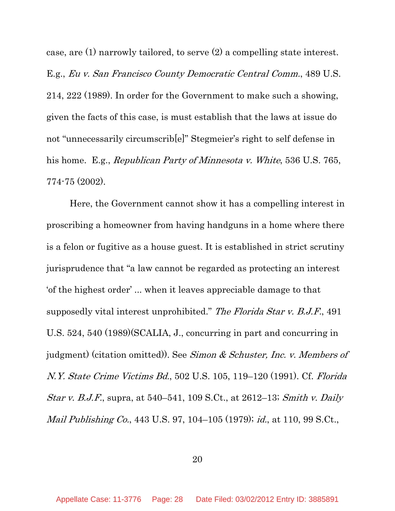case, are (1) narrowly tailored, to serve (2) a compelling state interest. E.g., Eu v. San Francisco County Democratic Central Comm., 489 U.S. 214, 222 (1989). In order for the Government to make such a showing, given the facts of this case, is must establish that the laws at issue do not "unnecessarily circumscrib[e]" Stegmeier's right to self defense in his home. E.g., *Republican Party of Minnesota v. White*, 536 U.S. 765, 774-75 (2002).

Here, the Government cannot show it has a compelling interest in proscribing a homeowner from having handguns in a home where there is a felon or fugitive as a house guest. It is established in strict scrutiny jurisprudence that "a law cannot be regarded as protecting an interest 'of the highest order' ... when it leaves appreciable damage to that supposedly vital interest unprohibited." The Florida Star v. B.J.F., 491 U.S. 524, 540 (1989)(SCALIA, J., concurring in part and concurring in judgment) (citation omitted)). See Simon & Schuster, Inc. v. Members of N.Y. State Crime Victims Bd., 502 U.S. 105, 119–120 (1991). Cf. Florida Star v. B.J.F., supra, at 540–541, 109 S.Ct., at 2612–13; Smith v. Daily Mail Publishing Co., 443 U.S. 97, 104–105 (1979); id., at 110, 99 S.Ct.,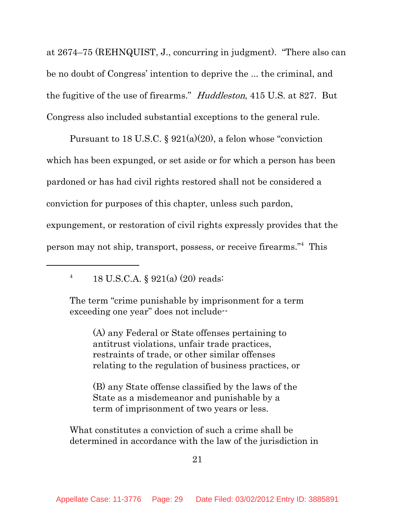at 2674–75 (REHNQUIST, J., concurring in judgment). "There also can be no doubt of Congress' intention to deprive the ... the criminal, and the fugitive of the use of firearms." Huddleston, 415 U.S. at 827. But Congress also included substantial exceptions to the general rule.

Pursuant to 18 U.S.C.  $\S 921(a)(20)$ , a felon whose "conviction" which has been expunged, or set aside or for which a person has been pardoned or has had civil rights restored shall not be considered a conviction for purposes of this chapter, unless such pardon, expungement, or restoration of civil rights expressly provides that the person may not ship, transport, possess, or receive firearms."4 This

<sup>4</sup> 18 U.S.C.A. § 921(a) (20) reads:

The term "crime punishable by imprisonment for a term exceeding one year" does not include--

(A) any Federal or State offenses pertaining to antitrust violations, unfair trade practices, restraints of trade, or other similar offenses relating to the regulation of business practices, or

(B) any State offense classified by the laws of the State as a misdemeanor and punishable by a term of imprisonment of two years or less.

What constitutes a conviction of such a crime shall be determined in accordance with the law of the jurisdiction in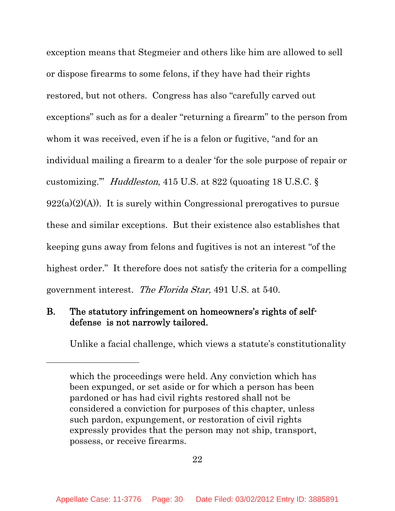exception means that Stegmeier and others like him are allowed to sell or dispose firearms to some felons, if they have had their rights restored, but not others. Congress has also "carefully carved out exceptions" such as for a dealer "returning a firearm" to the person from whom it was received, even if he is a felon or fugitive, "and for an individual mailing a firearm to a dealer 'for the sole purpose of repair or customizing.'" Huddleston, 415 U.S. at 822 (quoating 18 U.S.C. §  $922(a)(2)(A)$ . It is surely within Congressional prerogatives to pursue these and similar exceptions. But their existence also establishes that keeping guns away from felons and fugitives is not an interest "of the highest order." It therefore does not satisfy the criteria for a compelling government interest. The Florida Star, 491 U.S. at 540.

## B. The statutory infringement on homeowners's rights of selfdefense is not narrowly tailored.

Unlike a facial challenge, which views a statute's constitutionality

which the proceedings were held. Any conviction which has been expunged, or set aside or for which a person has been pardoned or has had civil rights restored shall not be considered a conviction for purposes of this chapter, unless such pardon, expungement, or restoration of civil rights expressly provides that the person may not ship, transport, possess, or receive firearms.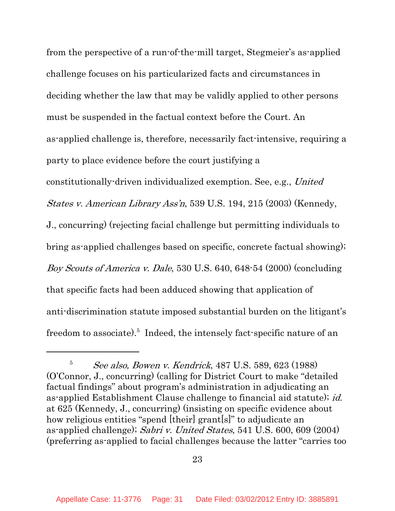from the perspective of a run-of-the-mill target, Stegmeier's as-applied challenge focuses on his particularized facts and circumstances in deciding whether the law that may be validly applied to other persons must be suspended in the factual context before the Court. An as-applied challenge is, therefore, necessarily fact-intensive, requiring a party to place evidence before the court justifying a constitutionally-driven individualized exemption. See, e.g., United States v. American Library Ass'n, 539 U.S. 194, 215 (2003) (Kennedy, J., concurring) (rejecting facial challenge but permitting individuals to bring as-applied challenges based on specific, concrete factual showing); Boy Scouts of America v. Dale, 530 U.S. 640, 648-54 (2000) (concluding that specific facts had been adduced showing that application of anti-discrimination statute imposed substantial burden on the litigant's freedom to associate).<sup>5</sup> Indeed, the intensely fact-specific nature of an

 $5$  See also, Bowen v. Kendrick, 487 U.S. 589, 623 (1988) (O'Connor, J., concurring) (calling for District Court to make "detailed factual findings" about program's administration in adjudicating an as-applied Establishment Clause challenge to financial aid statute); id. at 625 (Kennedy, J., concurring) (insisting on specific evidence about how religious entities "spend [their] grant[s]" to adjudicate an as-applied challenge); Sabri v. United States, 541 U.S. 600, 609 (2004) (preferring as-applied to facial challenges because the latter "carries too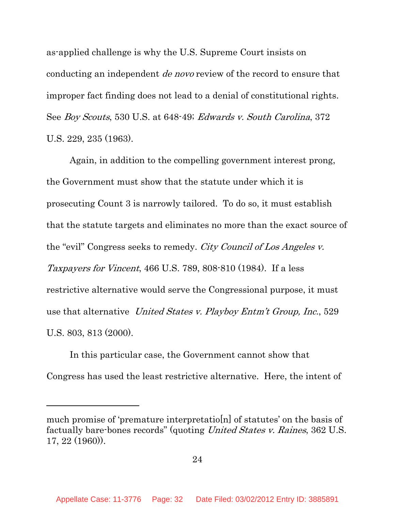as-applied challenge is why the U.S. Supreme Court insists on conducting an independent *de novo* review of the record to ensure that improper fact finding does not lead to a denial of constitutional rights. See Boy Scouts, 530 U.S. at 648-49; Edwards v. South Carolina, 372 U.S. 229, 235 (1963).

Again, in addition to the compelling government interest prong, the Government must show that the statute under which it is prosecuting Count 3 is narrowly tailored. To do so, it must establish that the statute targets and eliminates no more than the exact source of the "evil" Congress seeks to remedy. City Council of Los Angeles v. Taxpayers for Vincent, 466 U.S. 789, 808-810 (1984). If a less restrictive alternative would serve the Congressional purpose, it must use that alternative United States v. Playboy Entm't Group, Inc., 529 U.S. 803, 813 (2000).

In this particular case, the Government cannot show that Congress has used the least restrictive alternative. Here, the intent of

much promise of 'premature interpretatio[n] of statutes' on the basis of factually bare-bones records" (quoting United States v. Raines, 362 U.S. 17, 22 (1960)).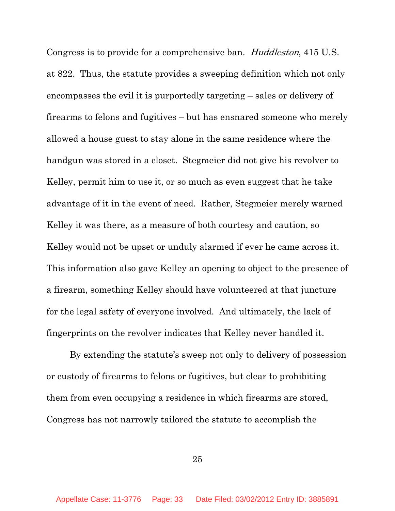Congress is to provide for a comprehensive ban. Huddleston, 415 U.S. at 822. Thus, the statute provides a sweeping definition which not only encompasses the evil it is purportedly targeting – sales or delivery of firearms to felons and fugitives – but has ensnared someone who merely allowed a house guest to stay alone in the same residence where the handgun was stored in a closet. Stegmeier did not give his revolver to Kelley, permit him to use it, or so much as even suggest that he take advantage of it in the event of need. Rather, Stegmeier merely warned Kelley it was there, as a measure of both courtesy and caution, so Kelley would not be upset or unduly alarmed if ever he came across it. This information also gave Kelley an opening to object to the presence of a firearm, something Kelley should have volunteered at that juncture for the legal safety of everyone involved. And ultimately, the lack of fingerprints on the revolver indicates that Kelley never handled it.

By extending the statute's sweep not only to delivery of possession or custody of firearms to felons or fugitives, but clear to prohibiting them from even occupying a residence in which firearms are stored, Congress has not narrowly tailored the statute to accomplish the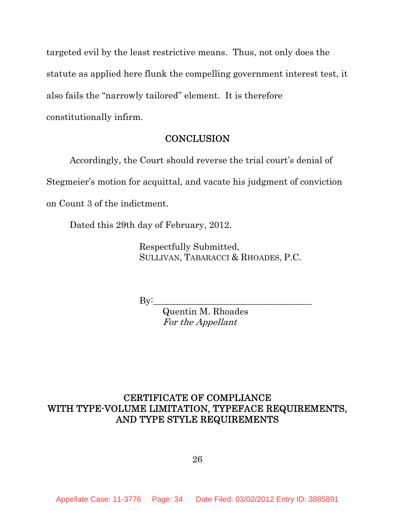targeted evil by the least restrictive means. Thus, not only does the statute as applied here flunk the compelling government interest test, it also fails the "narrowly tailored" element. It is therefore constitutionally infirm.

### **CONCLUSION**

Accordingly, the Court should reverse the trial court's denial of Stegmeier's motion for acquittal, and vacate his judgment of conviction on Count 3 of the indictment.

Dated this 29th day of February, 2012.

Respectfully Submitted, SULLIVAN, TABARACCI & RHOADES, P.C.

By:\_\_\_\_\_\_\_\_\_\_\_\_\_\_\_\_\_\_\_\_\_\_\_\_\_\_\_\_\_\_\_\_\_\_\_

Quentin M. Rhoades For the Appellant

## CERTIFICATE OF COMPLIANCE WITH TYPE-VOLUME LIMITATION, TYPEFACE REQUIREMENTS, AND TYPE STYLE REQUIREMENTS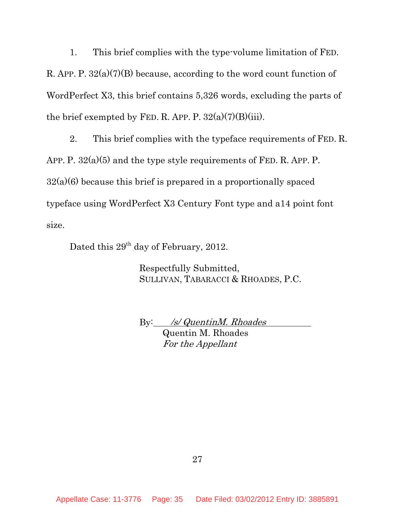1. This brief complies with the type-volume limitation of FED. R. APP. P. 32(a)(7)(B) because, according to the word count function of WordPerfect X3, this brief contains 5,326 words, excluding the parts of the brief exempted by FED. R. APP. P.  $32(a)(7)(B)(iii)$ .

2. This brief complies with the typeface requirements of FED. R. APP. P.  $32(a)(5)$  and the type style requirements of FED. R. APP. P.  $32(a)(6)$  because this brief is prepared in a proportionally spaced typeface using WordPerfect X3 Century Font type and a14 point font size.

Dated this  $29<sup>th</sup>$  day of February, 2012.

Respectfully Submitted, SULLIVAN, TABARACCI & RHOADES, P.C.

By: /s/ QuentinM. Rhoades

Quentin M. Rhoades For the Appellant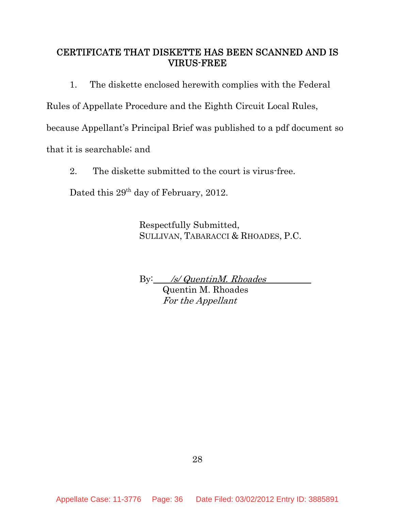## CERTIFICATE THAT DISKETTE HAS BEEN SCANNED AND IS VIRUS-FREE

1. The diskette enclosed herewith complies with the Federal

Rules of Appellate Procedure and the Eighth Circuit Local Rules,

because Appellant's Principal Brief was published to a pdf document so

that it is searchable; and

2. The diskette submitted to the court is virus-free.

Dated this 29<sup>th</sup> day of February, 2012.

Respectfully Submitted, SULLIVAN, TABARACCI & RHOADES, P.C.

By: /s/ QuentinM. Rhoades

Quentin M. Rhoades For the Appellant